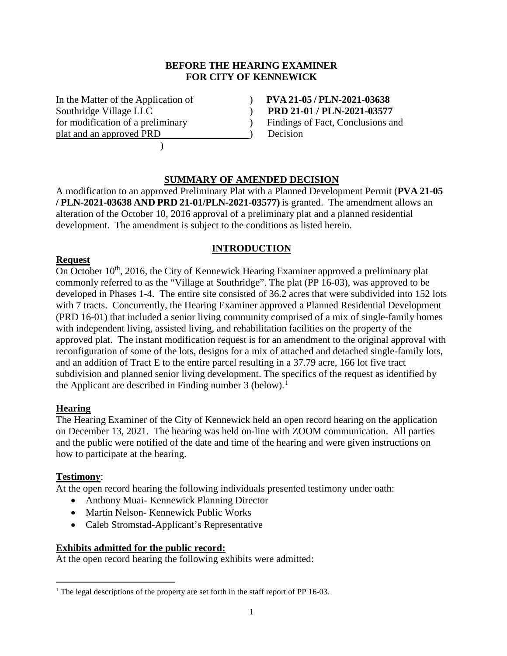## **BEFORE THE HEARING EXAMINER FOR CITY OF KENNEWICK**

In the Matter of the Application of ) **PVA 21-05 / PLN-2021-03638** Southridge Village LLC ) **PRD 21-01 / PLN-2021-03577** for modification of a preliminary (a) Findings of Fact, Conclusions and plat and an approved PRD (b) Decision  $\overline{\phantom{a}}$ 

## **SUMMARY OF AMENDED DECISION**

A modification to an approved Preliminary Plat with a Planned Development Permit (**PVA 21-05 / PLN-2021-03638 AND PRD 21-01/PLN-2021-03577)** is granted. The amendment allows an alteration of the October 10, 2016 approval of a preliminary plat and a planned residential development. The amendment is subject to the conditions as listed herein.

# **INTRODUCTION**

## **Request**

On October  $10^{th}$ , 2016, the City of Kennewick Hearing Examiner approved a preliminary plat commonly referred to as the "Village at Southridge". The plat (PP 16-03), was approved to be developed in Phases 1-4. The entire site consisted of 36.2 acres that were subdivided into 152 lots with 7 tracts. Concurrently, the Hearing Examiner approved a Planned Residential Development (PRD 16-01) that included a senior living community comprised of a mix of single-family homes with independent living, assisted living, and rehabilitation facilities on the property of the approved plat. The instant modification request is for an amendment to the original approval with reconfiguration of some of the lots, designs for a mix of attached and detached single-family lots, and an addition of Tract E to the entire parcel resulting in a 37.79 acre, 166 lot five tract subdivision and planned senior living development. The specifics of the request as identified by the Applicant are described in Finding number 3 (below).<sup>[1](#page-0-0)</sup>

## **Hearing**

The Hearing Examiner of the City of Kennewick held an open record hearing on the application on December 13, 2021. The hearing was held on-line with ZOOM communication. All parties and the public were notified of the date and time of the hearing and were given instructions on how to participate at the hearing.

## **Testimony**:

At the open record hearing the following individuals presented testimony under oath:

- Anthony Muai- Kennewick Planning Director
- Martin Nelson- Kennewick Public Works
- Caleb Stromstad-Applicant's Representative

### **Exhibits admitted for the public record:**

At the open record hearing the following exhibits were admitted:

<span id="page-0-0"></span><sup>&</sup>lt;sup>1</sup> The legal descriptions of the property are set forth in the staff report of PP 16-03.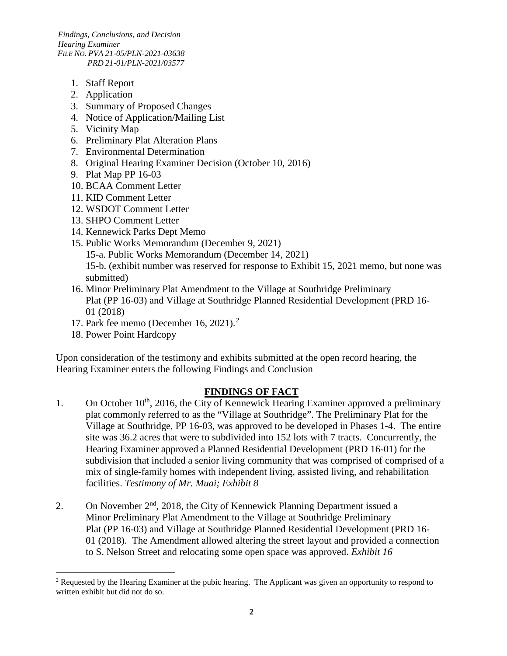*Findings, Conclusions, and Decision Hearing Examiner FILE NO. PVA 21-05/PLN-2021-03638 PRD 21-01/PLN-2021/03577*

- 1. Staff Report
- 2. Application
- 3. Summary of Proposed Changes
- 4. Notice of Application/Mailing List
- 5. Vicinity Map
- 6. Preliminary Plat Alteration Plans
- 7. Environmental Determination
- 8. Original Hearing Examiner Decision (October 10, 2016)
- 9. Plat Map PP 16-03
- 10. BCAA Comment Letter
- 11. KID Comment Letter
- 12. WSDOT Comment Letter
- 13. SHPO Comment Letter
- 14. Kennewick Parks Dept Memo
- 15. Public Works Memorandum (December 9, 2021)
	- 15-a. Public Works Memorandum (December 14, 2021)

15-b. (exhibit number was reserved for response to Exhibit 15, 2021 memo, but none was submitted)

- 16. Minor Preliminary Plat Amendment to the Village at Southridge Preliminary Plat (PP 16-03) and Village at Southridge Planned Residential Development (PRD 16- 01 (2018)
- 17. Park fee memo (December 16, 2021). [2](#page-1-0)
	- 18. Power Point Hardcopy

Upon consideration of the testimony and exhibits submitted at the open record hearing, the Hearing Examiner enters the following Findings and Conclusion

### **FINDINGS OF FACT**

- 1. On October 10<sup>th</sup>, 2016, the City of Kennewick Hearing Examiner approved a preliminary plat commonly referred to as the "Village at Southridge". The Preliminary Plat for the Village at Southridge, PP 16-03, was approved to be developed in Phases 1-4. The entire site was 36.2 acres that were to subdivided into 152 lots with 7 tracts. Concurrently, the Hearing Examiner approved a Planned Residential Development (PRD 16-01) for the subdivision that included a senior living community that was comprised of comprised of a mix of single-family homes with independent living, assisted living, and rehabilitation facilities. *Testimony of Mr. Muai; Exhibit 8*
- 2. On November 2<sup>nd</sup>, 2018, the City of Kennewick Planning Department issued a Minor Preliminary Plat Amendment to the Village at Southridge Preliminary Plat (PP 16-03) and Village at Southridge Planned Residential Development (PRD 16- 01 (2018). The Amendment allowed altering the street layout and provided a connection to S. Nelson Street and relocating some open space was approved. *Exhibit 16*

<span id="page-1-0"></span><sup>&</sup>lt;sup>2</sup> Requested by the Hearing Examiner at the pubic hearing. The Applicant was given an opportunity to respond to written exhibit but did not do so.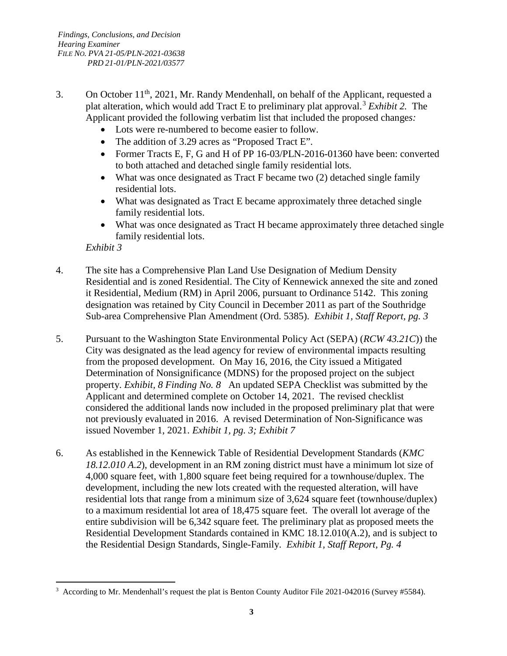- 3. On October 11th, 2021, Mr. Randy Mendenhall, on behalf of the Applicant, requested a plat alteration, which would add Tract E to preliminary plat approval.[3](#page-2-0) *Exhibit 2.* The Applicant provided the following verbatim list that included the proposed change*s:*
	- Lots were re-numbered to become easier to follow.
	- The addition of 3.29 acres as "Proposed Tract E".
	- Former Tracts E, F, G and H of PP 16-03/PLN-2016-01360 have been: converted to both attached and detached single family residential lots.
	- What was once designated as Tract F became two (2) detached single family residential lots.
	- What was designated as Tract E became approximately three detached single family residential lots.
	- What was once designated as Tract H became approximately three detached single family residential lots.

### *Exhibit 3*

- 4. The site has a Comprehensive Plan Land Use Designation of Medium Density Residential and is zoned Residential. The City of Kennewick annexed the site and zoned it Residential, Medium (RM) in April 2006, pursuant to Ordinance 5142. This zoning designation was retained by City Council in December 2011 as part of the Southridge Sub-area Comprehensive Plan Amendment (Ord. 5385). *Exhibit 1, Staff Report, pg. 3*
- 5. Pursuant to the Washington State Environmental Policy Act (SEPA) (*RCW 43.21C*)) the City was designated as the lead agency for review of environmental impacts resulting from the proposed development. On May 16, 2016, the City issued a Mitigated Determination of Nonsignificance (MDNS) for the proposed project on the subject property. *Exhibit, 8 Finding No. 8* An updated SEPA Checklist was submitted by the Applicant and determined complete on October 14, 2021. The revised checklist considered the additional lands now included in the proposed preliminary plat that were not previously evaluated in 2016. A revised Determination of Non-Significance was issued November 1, 2021. *Exhibit 1, pg. 3; Exhibit 7*
- 6. As established in the Kennewick Table of Residential Development Standards (*KMC 18.12.010 A.2*), development in an RM zoning district must have a minimum lot size of 4,000 square feet, with 1,800 square feet being required for a townhouse/duplex. The development, including the new lots created with the requested alteration, will have residential lots that range from a minimum size of 3,624 square feet (townhouse/duplex) to a maximum residential lot area of 18,475 square feet. The overall lot average of the entire subdivision will be 6,342 square feet*.* The preliminary plat as proposed meets the Residential Development Standards contained in KMC 18.12.010(A.2), and is subject to the Residential Design Standards, Single-Family. *Exhibit 1, Staff Report, Pg. 4*

<span id="page-2-0"></span><sup>&</sup>lt;sup>3</sup> According to Mr. Mendenhall's request the plat is Benton County Auditor File 2021-042016 (Survey #5584).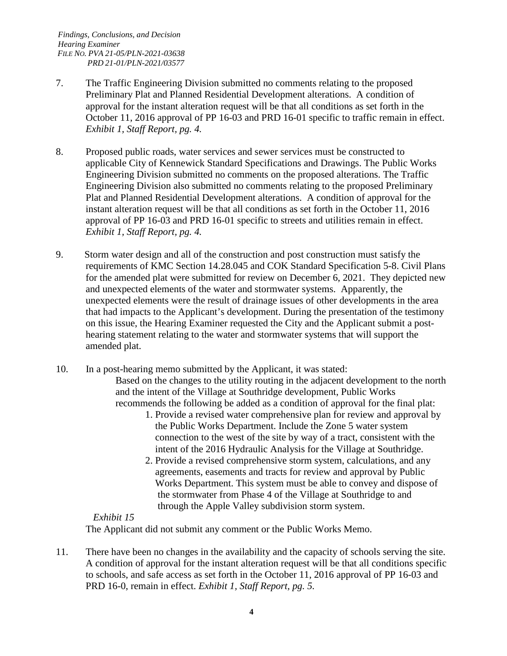- 7. The Traffic Engineering Division submitted no comments relating to the proposed Preliminary Plat and Planned Residential Development alterations. A condition of approval for the instant alteration request will be that all conditions as set forth in the October 11, 2016 approval of PP 16-03 and PRD 16-01 specific to traffic remain in effect. *Exhibit 1, Staff Report, pg. 4.*
- 8. Proposed public roads, water services and sewer services must be constructed to applicable City of Kennewick Standard Specifications and Drawings. The Public Works Engineering Division submitted no comments on the proposed alterations. The Traffic Engineering Division also submitted no comments relating to the proposed Preliminary Plat and Planned Residential Development alterations. A condition of approval for the instant alteration request will be that all conditions as set forth in the October 11, 2016 approval of PP 16-03 and PRD 16-01 specific to streets and utilities remain in effect. *Exhibit 1, Staff Report, pg. 4.*
- 9. Storm water design and all of the construction and post construction must satisfy the requirements of KMC Section 14.28.045 and COK Standard Specification 5-8. Civil Plans for the amended plat were submitted for review on December 6, 2021. They depicted new and unexpected elements of the water and stormwater systems. Apparently, the unexpected elements were the result of drainage issues of other developments in the area that had impacts to the Applicant's development. During the presentation of the testimony on this issue, the Hearing Examiner requested the City and the Applicant submit a posthearing statement relating to the water and stormwater systems that will support the amended plat.
- 10. In a post-hearing memo submitted by the Applicant, it was stated:

Based on the changes to the utility routing in the adjacent development to the north and the intent of the Village at Southridge development, Public Works recommends the following be added as a condition of approval for the final plat:

- 1. Provide a revised water comprehensive plan for review and approval by the Public Works Department. Include the Zone 5 water system connection to the west of the site by way of a tract, consistent with the intent of the 2016 Hydraulic Analysis for the Village at Southridge.
- 2. Provide a revised comprehensive storm system, calculations, and any agreements, easements and tracts for review and approval by Public Works Department. This system must be able to convey and dispose of the stormwater from Phase 4 of the Village at Southridge to and through the Apple Valley subdivision storm system.

### *Exhibit 15*

The Applicant did not submit any comment or the Public Works Memo.

11. There have been no changes in the availability and the capacity of schools serving the site. A condition of approval for the instant alteration request will be that all conditions specific to schools, and safe access as set forth in the October 11, 2016 approval of PP 16-03 and PRD 16-0, remain in effect. *Exhibit 1, Staff Report, pg. 5.*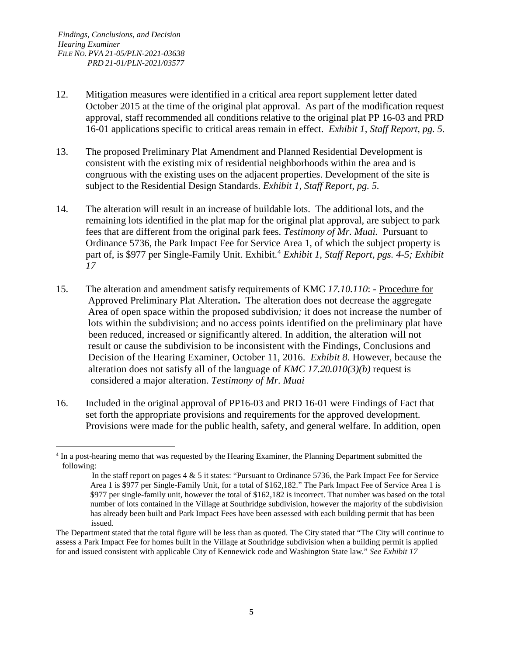- 12. Mitigation measures were identified in a critical area report supplement letter dated October 2015 at the time of the original plat approval. As part of the modification request approval, staff recommended all conditions relative to the original plat PP 16-03 and PRD 16-01 applications specific to critical areas remain in effect. *Exhibit 1, Staff Report, pg. 5.*
- 13. The proposed Preliminary Plat Amendment and Planned Residential Development is consistent with the existing mix of residential neighborhoods within the area and is congruous with the existing uses on the adjacent properties. Development of the site is subject to the Residential Design Standards. *Exhibit 1, Staff Report, pg. 5.*
- 14. The alteration will result in an increase of buildable lots. The additional lots, and the remaining lots identified in the plat map for the original plat approval, are subject to park fees that are different from the original park fees. *Testimony of Mr. Muai.* Pursuant to Ordinance 5736, the Park Impact Fee for Service Area 1, of which the subject property is part of, is \$977 per Single-Family Unit. Exhibit.<sup>[4](#page-4-0)</sup> *Exhibit 1, Staff Report, pgs. 4-5; Exhibit 17*
- 15. The alteration and amendment satisfy requirements of KMC *17.10.110*: Procedure for Approved Preliminary Plat Alteration**.** The alteration does not decrease the aggregate Area of open space within the proposed subdivision*;* it does not increase the number of lots within the subdivision; and no access points identified on the preliminary plat have been reduced, increased or significantly altered. In addition, the alteration will not result or cause the subdivision to be inconsistent with the Findings, Conclusions and Decision of the Hearing Examiner, October 11, 2016. *Exhibit 8.* However, because the alteration does not satisfy all of the language of *KMC 17.20.010(3)(b)* request is considered a major alteration. *Testimony of Mr. Muai*
- 16. Included in the original approval of PP16-03 and PRD 16-01 were Findings of Fact that set forth the appropriate provisions and requirements for the approved development. Provisions were made for the public health, safety, and general welfare. In addition, open

<span id="page-4-0"></span> <sup>4</sup> In a post-hearing memo that was requested by the Hearing Examiner, the Planning Department submitted the following:

In the staff report on pages 4 & 5 it states: "Pursuant to Ordinance 5736, the Park Impact Fee for Service Area 1 is \$977 per Single-Family Unit, for a total of \$162,182." The Park Impact Fee of Service Area 1 is \$977 per single-family unit, however the total of \$162,182 is incorrect. That number was based on the total number of lots contained in the Village at Southridge subdivision, however the majority of the subdivision has already been built and Park Impact Fees have been assessed with each building permit that has been issued.

The Department stated that the total figure will be less than as quoted. The City stated that "The City will continue to assess a Park Impact Fee for homes built in the Village at Southridge subdivision when a building permit is applied for and issued consistent with applicable City of Kennewick code and Washington State law." *See Exhibit 17*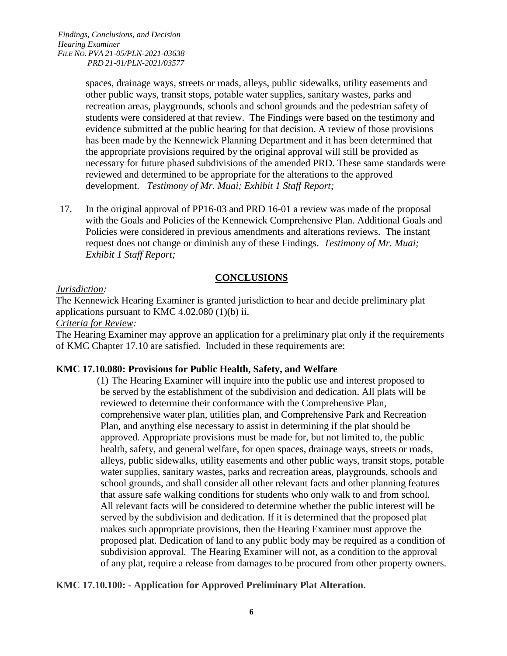spaces, drainage ways, streets or roads, alleys, public sidewalks, utility easements and other public ways, transit stops, potable water supplies, sanitary wastes, parks and recreation areas, playgrounds, schools and school grounds and the pedestrian safety of students were considered at that review. The Findings were based on the testimony and evidence submitted at the public hearing for that decision. A review of those provisions has been made by the Kennewick Planning Department and it has been determined that the appropriate provisions required by the original approval will still be provided as necessary for future phased subdivisions of the amended PRD. These same standards were reviewed and determined to be appropriate for the alterations to the approved development. *Testimony of Mr. Muai; Exhibit 1 Staff Report;* 

17. In the original approval of PP16-03 and PRD 16-01 a review was made of the proposal with the Goals and Policies of the Kennewick Comprehensive Plan. Additional Goals and Policies were considered in previous amendments and alterations reviews. The instant request does not change or diminish any of these Findings. *Testimony of Mr. Muai; Exhibit 1 Staff Report;* 

## **CONCLUSIONS**

## *Jurisdiction:*

The Kennewick Hearing Examiner is granted jurisdiction to hear and decide preliminary plat applications pursuant to KMC 4.02.080 (1)(b) ii.

## *Criteria for Review:*

The Hearing Examiner may approve an application for a preliminary plat only if the requirements of KMC Chapter 17.10 are satisfied. Included in these requirements are:

## **KMC 17.10.080: Provisions for Public Health, Safety, and Welfare**

(1) The Hearing Examiner will inquire into the public use and interest proposed to be served by the establishment of the subdivision and dedication. All plats will be reviewed to determine their conformance with the Comprehensive Plan, comprehensive water plan, utilities plan, and Comprehensive Park and Recreation Plan, and anything else necessary to assist in determining if the plat should be approved. Appropriate provisions must be made for, but not limited to, the public health, safety, and general welfare, for open spaces, drainage ways, streets or roads, alleys, public sidewalks, utility easements and other public ways, transit stops, potable water supplies, sanitary wastes, parks and recreation areas, playgrounds, schools and school grounds, and shall consider all other relevant facts and other planning features that assure safe walking conditions for students who only walk to and from school. All relevant facts will be considered to determine whether the public interest will be served by the subdivision and dedication. If it is determined that the proposed plat makes such appropriate provisions, then the Hearing Examiner must approve the proposed plat. Dedication of land to any public body may be required as a condition of subdivision approval. The Hearing Examiner will not, as a condition to the approval of any plat, require a release from damages to be procured from other property owners.

## **KMC 17.10.100: - Application for Approved Preliminary Plat Alteration.**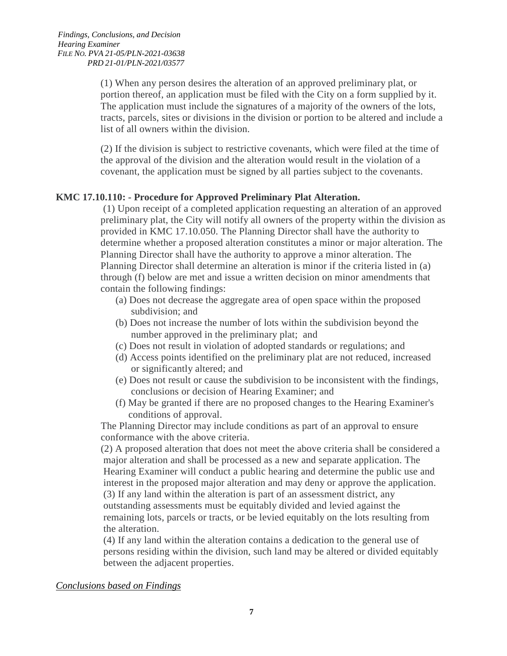(1) When any person desires the alteration of an approved preliminary plat, or portion thereof, an application must be filed with the City on a form supplied by it. The application must include the signatures of a majority of the owners of the lots, tracts, parcels, sites or divisions in the division or portion to be altered and include a list of all owners within the division.

(2) If the division is subject to restrictive covenants, which were filed at the time of the approval of the division and the alteration would result in the violation of a covenant, the application must be signed by all parties subject to the covenants.

#### **KMC 17.10.110: - Procedure for Approved Preliminary Plat Alteration.**

(1) Upon receipt of a completed application requesting an alteration of an approved preliminary plat, the City will notify all owners of the property within the division as provided in KMC 17.10.050. The Planning Director shall have the authority to determine whether a proposed alteration constitutes a minor or major alteration. The Planning Director shall have the authority to approve a minor alteration. The Planning Director shall determine an alteration is minor if the criteria listed in (a) through (f) below are met and issue a written decision on minor amendments that contain the following findings:

- (a) Does not decrease the aggregate area of open space within the proposed subdivision; and
- (b) Does not increase the number of lots within the subdivision beyond the number approved in the preliminary plat; and
- (c) Does not result in violation of adopted standards or regulations; and
- (d) Access points identified on the preliminary plat are not reduced, increased or significantly altered; and
- (e) Does not result or cause the subdivision to be inconsistent with the findings, conclusions or decision of Hearing Examiner; and
- (f) May be granted if there are no proposed changes to the Hearing Examiner's conditions of approval.

 The Planning Director may include conditions as part of an approval to ensure conformance with the above criteria.

 (2) A proposed alteration that does not meet the above criteria shall be considered a major alteration and shall be processed as a new and separate application. The Hearing Examiner will conduct a public hearing and determine the public use and interest in the proposed major alteration and may deny or approve the application. (3) If any land within the alteration is part of an assessment district, any outstanding assessments must be equitably divided and levied against the remaining lots, parcels or tracts, or be levied equitably on the lots resulting from the alteration.

 (4) If any land within the alteration contains a dedication to the general use of persons residing within the division, such land may be altered or divided equitably between the adjacent properties.

#### *Conclusions based on Findings*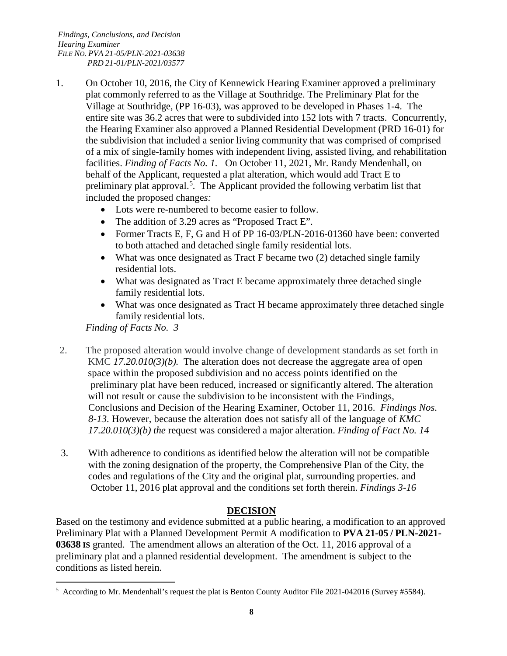- 1. On October 10, 2016, the City of Kennewick Hearing Examiner approved a preliminary plat commonly referred to as the Village at Southridge. The Preliminary Plat for the Village at Southridge, (PP 16-03), was approved to be developed in Phases 1-4. The entire site was 36.2 acres that were to subdivided into 152 lots with 7 tracts. Concurrently, the Hearing Examiner also approved a Planned Residential Development (PRD 16-01) for the subdivision that included a senior living community that was comprised of comprised of a mix of single-family homes with independent living, assisted living, and rehabilitation facilities. *Finding of Facts No. 1.* On October 11, 2021, Mr. Randy Mendenhall, on behalf of the Applicant, requested a plat alteration, which would add Tract E to preliminary plat approval.<sup>[5](#page-7-0)</sup>. The Applicant provided the following verbatim list that included the proposed change*s:*
	- Lots were re-numbered to become easier to follow.
	- The addition of 3.29 acres as "Proposed Tract E".
	- Former Tracts E, F, G and H of PP 16-03/PLN-2016-01360 have been: converted to both attached and detached single family residential lots.
	- What was once designated as Tract F became two (2) detached single family residential lots.
	- What was designated as Tract E became approximately three detached single family residential lots.
	- What was once designated as Tract H became approximately three detached single family residential lots.

*Finding of Facts No. 3*

- 2. The proposed alteration would involve change of development standards as set forth in KMC *17.20.010(3)(b).* The alteration does not decrease the aggregate area of open space within the proposed subdivision and no access points identified on the preliminary plat have been reduced, increased or significantly altered. The alteration will not result or cause the subdivision to be inconsistent with the Findings, Conclusions and Decision of the Hearing Examiner, October 11, 2016. *Findings Nos. 8-13.* However, because the alteration does not satisfy all of the language of *KMC 17.20.010(3)(b) the* request was considered a major alteration. *Finding of Fact No. 14*
- 3. With adherence to conditions as identified below the alteration will not be compatible with the zoning designation of the property, the Comprehensive Plan of the City, the codes and regulations of the City and the original plat, surrounding properties. and October 11, 2016 plat approval and the conditions set forth therein. *Findings 3-16*

## **DECISION**

Based on the testimony and evidence submitted at a public hearing, a modification to an approved Preliminary Plat with a Planned Development Permit A modification to **PVA 21-05 / PLN-2021- 03638 IS** granted. The amendment allows an alteration of the Oct. 11, 2016 approval of a preliminary plat and a planned residential development. The amendment is subject to the conditions as listed herein.

<span id="page-7-0"></span> $\frac{1}{5}$  $5$  According to Mr. Mendenhall's request the plat is Benton County Auditor File 2021-042016 (Survey #5584).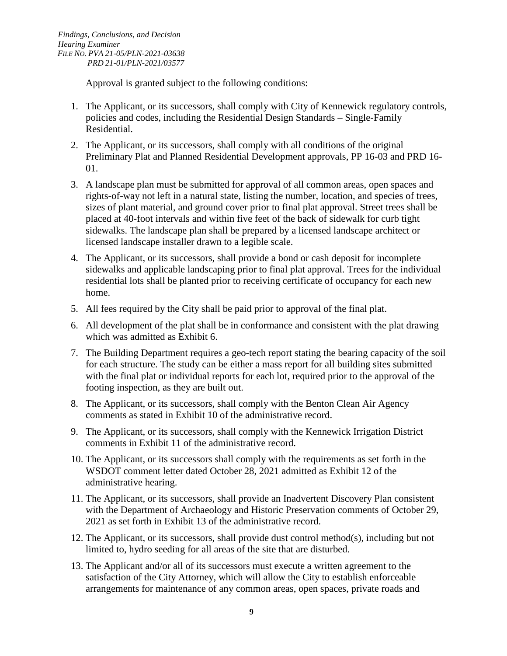Approval is granted subject to the following conditions:

- 1. The Applicant, or its successors, shall comply with City of Kennewick regulatory controls, policies and codes, including the Residential Design Standards – Single-Family Residential.
- 2. The Applicant, or its successors, shall comply with all conditions of the original Preliminary Plat and Planned Residential Development approvals, PP 16-03 and PRD 16- 01.
- 3. A landscape plan must be submitted for approval of all common areas, open spaces and rights-of-way not left in a natural state, listing the number, location, and species of trees, sizes of plant material, and ground cover prior to final plat approval. Street trees shall be placed at 40-foot intervals and within five feet of the back of sidewalk for curb tight sidewalks. The landscape plan shall be prepared by a licensed landscape architect or licensed landscape installer drawn to a legible scale.
- 4. The Applicant, or its successors, shall provide a bond or cash deposit for incomplete sidewalks and applicable landscaping prior to final plat approval. Trees for the individual residential lots shall be planted prior to receiving certificate of occupancy for each new home.
- 5. All fees required by the City shall be paid prior to approval of the final plat.
- 6. All development of the plat shall be in conformance and consistent with the plat drawing which was admitted as Exhibit 6.
- 7. The Building Department requires a geo-tech report stating the bearing capacity of the soil for each structure. The study can be either a mass report for all building sites submitted with the final plat or individual reports for each lot, required prior to the approval of the footing inspection, as they are built out.
- 8. The Applicant, or its successors, shall comply with the Benton Clean Air Agency comments as stated in Exhibit 10 of the administrative record.
- 9. The Applicant, or its successors, shall comply with the Kennewick Irrigation District comments in Exhibit 11 of the administrative record.
- 10. The Applicant, or its successors shall comply with the requirements as set forth in the WSDOT comment letter dated October 28, 2021 admitted as Exhibit 12 of the administrative hearing.
- 11. The Applicant, or its successors, shall provide an Inadvertent Discovery Plan consistent with the Department of Archaeology and Historic Preservation comments of October 29, 2021 as set forth in Exhibit 13 of the administrative record.
- 12. The Applicant, or its successors, shall provide dust control method(s), including but not limited to, hydro seeding for all areas of the site that are disturbed.
- 13. The Applicant and/or all of its successors must execute a written agreement to the satisfaction of the City Attorney, which will allow the City to establish enforceable arrangements for maintenance of any common areas, open spaces, private roads and